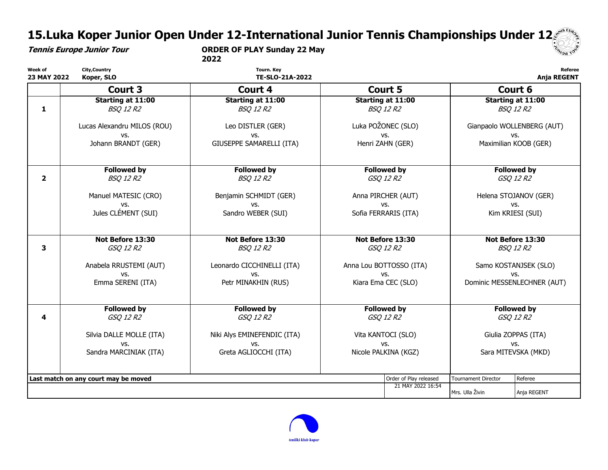# 15.Luka Koper Junior Open Under 12-International Junior Tennis Championships Under 12

Tennis Europe Junior Tour ORDER OF PLAY Sunday 22 May

2022



| Week of<br>23 MAY 2022 | <b>City, Country</b><br>Koper, SLO                                                                     | <b>Tourn. Key</b><br>TE-SLO-21A-2022       |                                                                                      |                                              | Referee<br><b>Anja REGENT</b>                                                        |                                   |  |
|------------------------|--------------------------------------------------------------------------------------------------------|--------------------------------------------|--------------------------------------------------------------------------------------|----------------------------------------------|--------------------------------------------------------------------------------------|-----------------------------------|--|
|                        | Court 3                                                                                                | Court 4                                    |                                                                                      | Court 5                                      |                                                                                      | Court 6                           |  |
| 1                      | <b>Starting at 11:00</b><br><b>BSQ 12 R2</b>                                                           | Starting at 11:00<br><b>BSQ 12 R2</b>      |                                                                                      | <b>Starting at 11:00</b><br><b>BSQ 12 R2</b> | <b>Starting at 11:00</b><br><b>BSQ 12 R2</b>                                         |                                   |  |
|                        | Lucas Alexandru MILOS (ROU)<br>VS.                                                                     | Leo DISTLER (GER)<br>VS.                   |                                                                                      | Luka POŽONEC (SLO)<br>VS.                    |                                                                                      | Gianpaolo WOLLENBERG (AUT)<br>VS. |  |
|                        | Johann BRANDT (GER)                                                                                    | GIUSEPPE SAMARELLI (ITA)                   |                                                                                      | Henri ZAHN (GER)                             |                                                                                      | Maximilian KOOB (GER)             |  |
| $\overline{2}$         | <b>Followed by</b><br><b>BSQ 12 R2</b>                                                                 | <b>Followed by</b><br><b>BSQ 12 R2</b>     | <b>Followed by</b><br>GSQ 12 R2                                                      |                                              | <b>Followed by</b><br>GSQ 12 R2                                                      |                                   |  |
|                        | Manuel MATESIC (CRO)<br>VS.                                                                            | Benjamin SCHMIDT (GER)<br>VS.              | Anna PIRCHER (AUT)<br>VS.                                                            |                                              | Helena STOJANOV (GER)<br>VS.                                                         |                                   |  |
|                        | Jules CLÉMENT (SUI)                                                                                    | Sandro WEBER (SUI)<br>Sofia FERRARIS (ITA) |                                                                                      | Kim KRIESI (SUI)                             |                                                                                      |                                   |  |
| 3                      | Not Before 13:30<br>Not Before 13:30<br>Not Before 13:30<br>GSQ 12 R2<br><b>BSQ 12 R2</b><br>GSQ 12 R2 |                                            |                                                                                      | Not Before 13:30<br><b>BSQ 12 R2</b>         |                                                                                      |                                   |  |
|                        | Anabela RRUSTEMI (AUT)<br>VS.                                                                          | Leonardo CICCHINELLI (ITA)<br>VS.          | Anna Lou BOTTOSSO (ITA)<br>VS.<br>Kiara Ema CEC (SLO)                                |                                              | Samo KOSTANJSEK (SLO)<br>VS.                                                         |                                   |  |
|                        | Emma SERENI (ITA)                                                                                      | Petr MINAKHIN (RUS)                        |                                                                                      |                                              | Dominic MESSENLECHNER (AUT)                                                          |                                   |  |
| 4                      | <b>Followed by</b><br>GSQ 12 R2                                                                        | <b>Followed by</b><br>GSQ 12 R2            | <b>Followed by</b><br>GSQ 12 R2<br>Vita KANTOCI (SLO)<br>VS.<br>Nicole PALKINA (KGZ) |                                              | <b>Followed by</b><br>GSQ 12 R2<br>Giulia ZOPPAS (ITA)<br>VS.<br>Sara MITEVSKA (MKD) |                                   |  |
|                        | Silvia DALLE MOLLE (ITA)<br>VS.                                                                        | Niki Alys EMINEFENDIC (ITA)<br>VS.         |                                                                                      |                                              |                                                                                      |                                   |  |
|                        | Sandra MARCINIAK (ITA)                                                                                 | Greta AGLIOCCHI (ITA)                      |                                                                                      |                                              |                                                                                      |                                   |  |
|                        | Last match on any court may be moved                                                                   |                                            |                                                                                      | Order of Play released                       | <b>Tournament Director</b>                                                           | Referee                           |  |
|                        |                                                                                                        |                                            |                                                                                      | 21 MAY 2022 16:54                            | Mrs. Ulla Živin                                                                      | Anja REGENT                       |  |

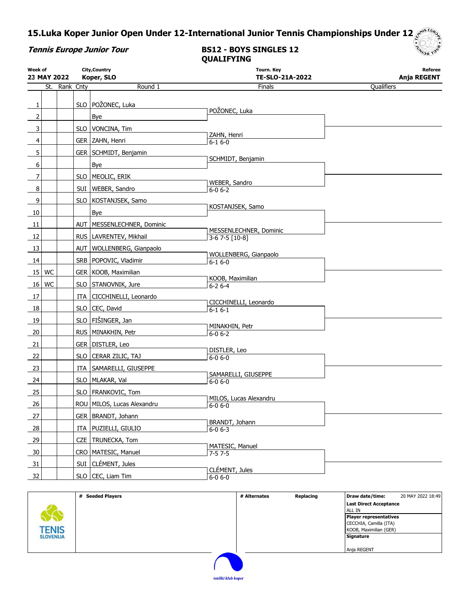# 15.Luka Koper Junior Open Under 12-International Junior Tennis Championships Under 12

| Tennis Europe Junior Toul |  |
|---------------------------|--|
|---------------------------|--|

### Tennis Europe Junior Tour BS12 - BOYS SINGLES 12 QUALIFYING



|    | City, Country<br>Week of<br>Koper, SLO<br>23 MAY 2022 |               |  | <b>Tourn. Key</b><br>TE-SLO-21A-2022 | Referee<br>Anja REGENT                  |            |
|----|-------------------------------------------------------|---------------|--|--------------------------------------|-----------------------------------------|------------|
|    |                                                       | St. Rank Cnty |  | Round 1                              | Finals                                  | Qualifiers |
|    |                                                       |               |  |                                      |                                         |            |
| 1  |                                                       |               |  | SLO POŽONEC, Luka                    | POŽONEC, Luka                           |            |
| 2  |                                                       |               |  | Bye                                  |                                         |            |
| 3  |                                                       |               |  | SLO   VONCINA, Tim                   | ZAHN, Henri                             |            |
| 4  |                                                       |               |  | GER ZAHN, Henri                      | $6 - 16 - 0$                            |            |
| 5  |                                                       |               |  | GER   SCHMIDT, Benjamin              |                                         |            |
| 6  |                                                       |               |  | Bye                                  | SCHMIDT, Benjamin                       |            |
| 7  |                                                       |               |  | SLO   MEOLIC, ERIK                   |                                         |            |
| 8  |                                                       |               |  | SUI   WEBER, Sandro                  | WEBER, Sandro<br>$6 - 0 6 - 2$          |            |
| 9  |                                                       |               |  | SLO   KOSTANJSEK, Samo               |                                         |            |
|    |                                                       |               |  |                                      | KOSTANJSEK, Samo                        |            |
| 10 |                                                       |               |  | Bye                                  |                                         |            |
| 11 |                                                       |               |  | AUT   MESSENLECHNER, Dominic         | MESSENLECHNER, Dominic                  |            |
| 12 |                                                       |               |  | RUS   LAVRENTEV, Mikhail             | 3-6 7-5 [10-8]                          |            |
| 13 |                                                       |               |  | AUT   WOLLENBERG, Gianpaolo          | WOLLENBERG, Gianpaolo                   |            |
| 14 |                                                       |               |  | SRB   POPOVIC, Vladimir              | $6 - 16 - 0$                            |            |
| 15 | WC                                                    |               |  | GER   KOOB, Maximilian               |                                         |            |
| 16 | WC                                                    |               |  | SLO STANOVNIK, Jure                  | KOOB, Maximilian<br>$6 - 26 - 4$        |            |
| 17 |                                                       |               |  | ITA   CICCHINELLI, Leonardo          |                                         |            |
| 18 |                                                       |               |  | SLO CEC, David                       | CICCHINELLI, Leonardo                   |            |
|    |                                                       |               |  |                                      | $6 - 16 - 1$                            |            |
| 19 |                                                       |               |  | SLO FIŠINGER, Jan                    | MINAKHIN, Petr                          |            |
| 20 |                                                       |               |  | RUS   MINAKHIN, Petr                 | $6 - 0 6 - 2$                           |            |
| 21 |                                                       |               |  | GER   DISTLER, Leo                   | DISTLER, Leo                            |            |
| 22 |                                                       |               |  | SLO   CERAR ZILIC, TAJ               | $6 - 06 - 0$                            |            |
| 23 |                                                       |               |  | ITA   SAMARELLI, GIUSEPPE            |                                         |            |
| 24 |                                                       |               |  | SLO   MLAKAR, Val                    | SAMARELLI, GIUSEPPE<br>$6 - 06 - 0$     |            |
| 25 |                                                       |               |  | SLO   FRANKOVIC, Tom                 |                                         |            |
| 26 |                                                       |               |  | ROU MILOS, Lucas Alexandru           | MILOS, Lucas Alexandru<br>$6 - 0 6 - 0$ |            |
| 27 |                                                       |               |  | GER   BRANDT, Johann                 |                                         |            |
|    |                                                       |               |  |                                      | BRANDT, Johann                          |            |
| 28 |                                                       |               |  | ITA   PUZIELLI, GIULIO               | $6 - 0 6 - 3$                           |            |
| 29 |                                                       |               |  | CZE   TRUNECKA, Tom                  | MATESIC, Manuel                         |            |
| 30 |                                                       |               |  | CRO   MATESIC, Manuel                | $7 - 57 - 5$                            |            |
| 31 |                                                       |               |  | SUI CLÉMENT, Jules                   | CLÉMENT, Jules                          |            |
| 32 |                                                       |               |  | SLO CEC, Liam Tim                    | $6 - 0 6 - 0$                           |            |